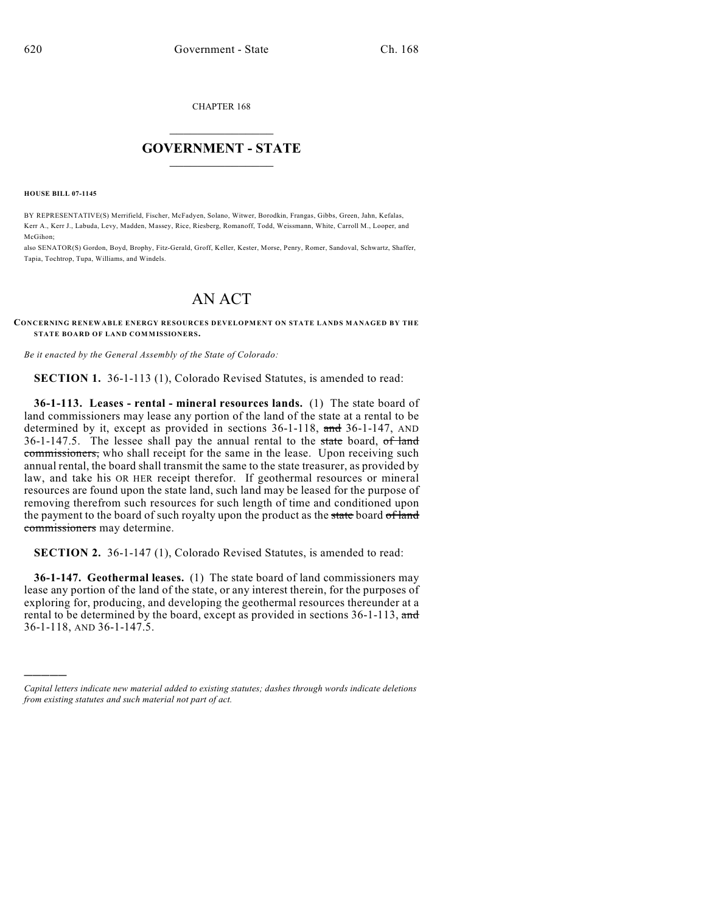CHAPTER 168

## $\mathcal{L}_\text{max}$  . The set of the set of the set of the set of the set of the set of the set of the set of the set of the set of the set of the set of the set of the set of the set of the set of the set of the set of the set **GOVERNMENT - STATE**  $\_$   $\_$   $\_$   $\_$   $\_$   $\_$   $\_$   $\_$   $\_$

**HOUSE BILL 07-1145**

)))))

BY REPRESENTATIVE(S) Merrifield, Fischer, McFadyen, Solano, Witwer, Borodkin, Frangas, Gibbs, Green, Jahn, Kefalas, Kerr A., Kerr J., Labuda, Levy, Madden, Massey, Rice, Riesberg, Romanoff, Todd, Weissmann, White, Carroll M., Looper, and McGihon;

also SENATOR(S) Gordon, Boyd, Brophy, Fitz-Gerald, Groff, Keller, Kester, Morse, Penry, Romer, Sandoval, Schwartz, Shaffer, Tapia, Tochtrop, Tupa, Williams, and Windels.

## AN ACT

**CONCERNING RENEWABLE ENERGY RESOURCES DEVELOPMENT ON STATE LANDS MANAGED BY THE STATE BOARD OF LAND COMMISSIONERS.**

*Be it enacted by the General Assembly of the State of Colorado:*

**SECTION 1.** 36-1-113 (1), Colorado Revised Statutes, is amended to read:

**36-1-113. Leases - rental - mineral resources lands.** (1) The state board of land commissioners may lease any portion of the land of the state at a rental to be determined by it, except as provided in sections 36-1-118, and 36-1-147, AND  $36-1-147.5$ . The lessee shall pay the annual rental to the state board, of land commissioners, who shall receipt for the same in the lease. Upon receiving such annual rental, the board shall transmit the same to the state treasurer, as provided by law, and take his OR HER receipt therefor. If geothermal resources or mineral resources are found upon the state land, such land may be leased for the purpose of removing therefrom such resources for such length of time and conditioned upon the payment to the board of such royalty upon the product as the state board of land commissioners may determine.

**SECTION 2.** 36-1-147 (1), Colorado Revised Statutes, is amended to read:

**36-1-147. Geothermal leases.** (1) The state board of land commissioners may lease any portion of the land of the state, or any interest therein, for the purposes of exploring for, producing, and developing the geothermal resources thereunder at a rental to be determined by the board, except as provided in sections 36-1-113, and 36-1-118, AND 36-1-147.5.

*Capital letters indicate new material added to existing statutes; dashes through words indicate deletions from existing statutes and such material not part of act.*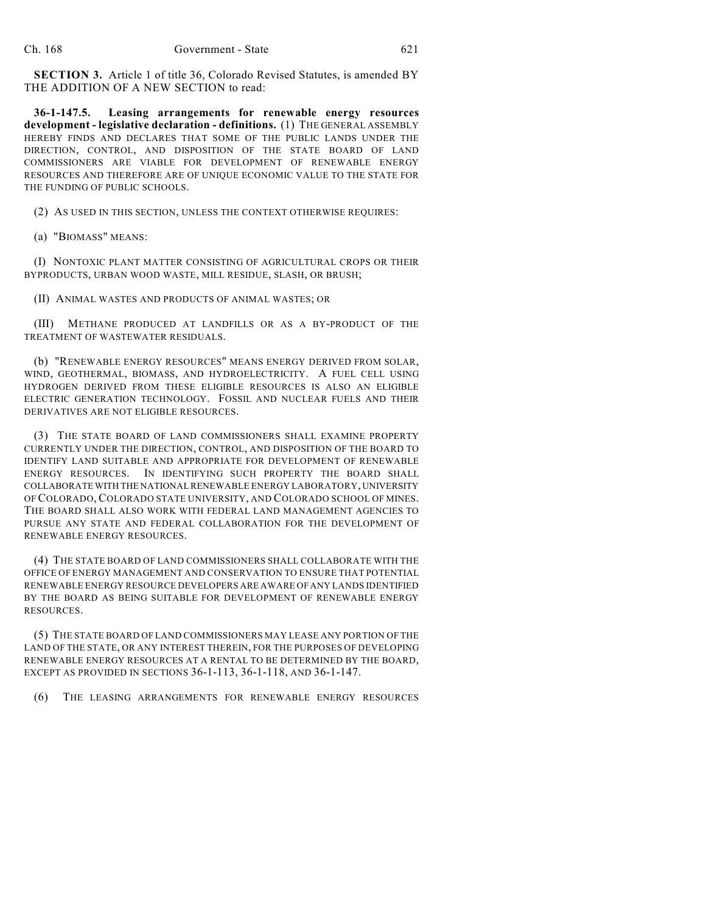**SECTION 3.** Article 1 of title 36, Colorado Revised Statutes, is amended BY THE ADDITION OF A NEW SECTION to read:

**36-1-147.5. Leasing arrangements for renewable energy resources development - legislative declaration - definitions.** (1) THE GENERAL ASSEMBLY HEREBY FINDS AND DECLARES THAT SOME OF THE PUBLIC LANDS UNDER THE DIRECTION, CONTROL, AND DISPOSITION OF THE STATE BOARD OF LAND COMMISSIONERS ARE VIABLE FOR DEVELOPMENT OF RENEWABLE ENERGY RESOURCES AND THEREFORE ARE OF UNIQUE ECONOMIC VALUE TO THE STATE FOR THE FUNDING OF PUBLIC SCHOOLS.

(2) AS USED IN THIS SECTION, UNLESS THE CONTEXT OTHERWISE REQUIRES:

(a) "BIOMASS" MEANS:

(I) NONTOXIC PLANT MATTER CONSISTING OF AGRICULTURAL CROPS OR THEIR BYPRODUCTS, URBAN WOOD WASTE, MILL RESIDUE, SLASH, OR BRUSH;

(II) ANIMAL WASTES AND PRODUCTS OF ANIMAL WASTES; OR

(III) METHANE PRODUCED AT LANDFILLS OR AS A BY-PRODUCT OF THE TREATMENT OF WASTEWATER RESIDUALS.

(b) "RENEWABLE ENERGY RESOURCES" MEANS ENERGY DERIVED FROM SOLAR, WIND, GEOTHERMAL, BIOMASS, AND HYDROELECTRICITY. A FUEL CELL USING HYDROGEN DERIVED FROM THESE ELIGIBLE RESOURCES IS ALSO AN ELIGIBLE ELECTRIC GENERATION TECHNOLOGY. FOSSIL AND NUCLEAR FUELS AND THEIR DERIVATIVES ARE NOT ELIGIBLE RESOURCES.

(3) THE STATE BOARD OF LAND COMMISSIONERS SHALL EXAMINE PROPERTY CURRENTLY UNDER THE DIRECTION, CONTROL, AND DISPOSITION OF THE BOARD TO IDENTIFY LAND SUITABLE AND APPROPRIATE FOR DEVELOPMENT OF RENEWABLE ENERGY RESOURCES. IN IDENTIFYING SUCH PROPERTY THE BOARD SHALL COLLABORATE WITH THE NATIONAL RENEWABLE ENERGY LABORATORY, UNIVERSITY OF COLORADO, COLORADO STATE UNIVERSITY, AND COLORADO SCHOOL OF MINES. THE BOARD SHALL ALSO WORK WITH FEDERAL LAND MANAGEMENT AGENCIES TO PURSUE ANY STATE AND FEDERAL COLLABORATION FOR THE DEVELOPMENT OF RENEWABLE ENERGY RESOURCES.

(4) THE STATE BOARD OF LAND COMMISSIONERS SHALL COLLABORATE WITH THE OFFICE OF ENERGY MANAGEMENT AND CONSERVATION TO ENSURE THAT POTENTIAL RENEWABLE ENERGY RESOURCE DEVELOPERS ARE AWARE OF ANY LANDS IDENTIFIED BY THE BOARD AS BEING SUITABLE FOR DEVELOPMENT OF RENEWABLE ENERGY RESOURCES.

(5) THE STATE BOARD OF LAND COMMISSIONERS MAY LEASE ANY PORTION OF THE LAND OF THE STATE, OR ANY INTEREST THEREIN, FOR THE PURPOSES OF DEVELOPING RENEWABLE ENERGY RESOURCES AT A RENTAL TO BE DETERMINED BY THE BOARD, EXCEPT AS PROVIDED IN SECTIONS 36-1-113, 36-1-118, AND 36-1-147.

(6) THE LEASING ARRANGEMENTS FOR RENEWABLE ENERGY RESOURCES